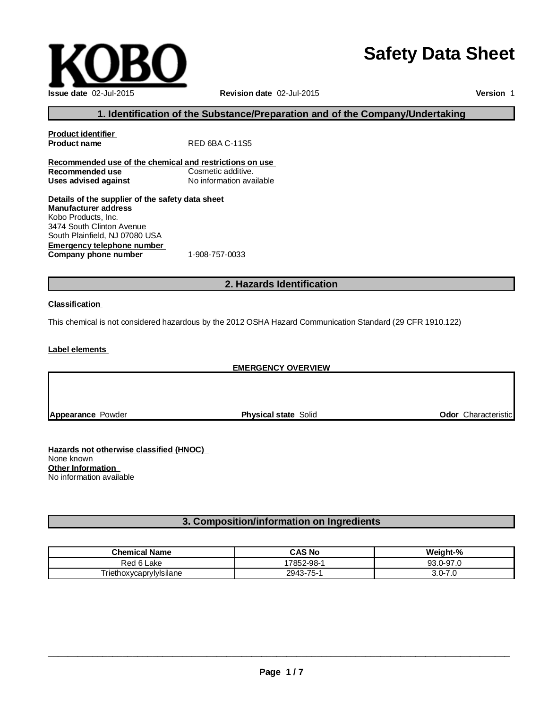# **Safety Data Sheet**



**Version** 1

### **1. Identification of the Substance/Preparation and of the Company/Undertaking**

| <b>Product identifier</b>                               |                          |  |
|---------------------------------------------------------|--------------------------|--|
| <b>Product name</b>                                     | RED 6BA C-11S5           |  |
| Recommended use of the chemical and restrictions on use |                          |  |
| Recommended use                                         | Cosmetic additive.       |  |
| Uses advised against                                    | No information available |  |
| Details of the supplier of the safety data sheet        |                          |  |
| <b>Manufacturer address</b>                             |                          |  |
| Kobo Products, Inc.                                     |                          |  |
| 3474 South Clinton Avenue                               |                          |  |
| South Plainfield, NJ 07080 USA                          |                          |  |
| Emergency telephone number                              |                          |  |
| Company phone number                                    | 1-908-757-0033           |  |

### **2. Hazards Identification**

#### **Classification**

This chemical is not considered hazardous by the 2012 OSHA Hazard Communication Standard (29 CFR 1910.122)

**Label elements**

#### **EMERGENCY OVERVIEW**

**Appearance** Powder **Physical state** Solid **Odor** Characteristic

**Hazards not otherwise classified (HNOC)** None known **Other Information** No information available

# **3. Composition/information on Ingredients**

| <b>Chemical Name</b>    | <b>CAS No</b> | Weight-%      |
|-------------------------|---------------|---------------|
| ≺ed<br>∟ake             | 7852-98-      | ے 197.0-97.   |
| Triethoxycaprylylsilane | 2943-75-1     | 3.0-7<br>ں. ا |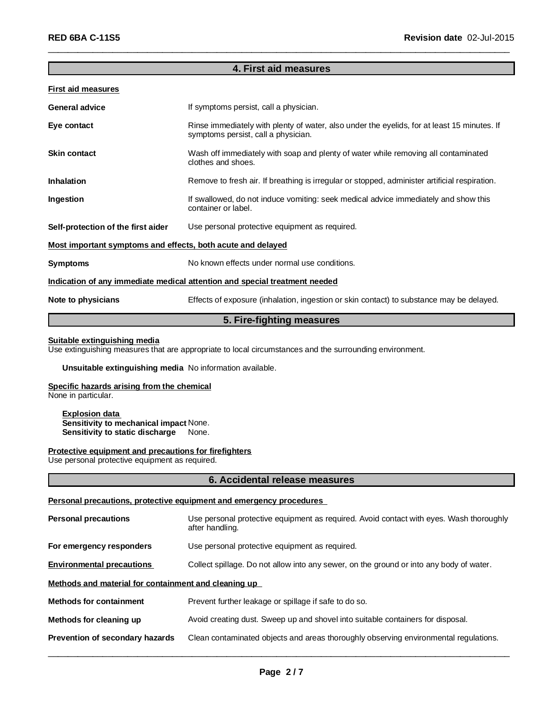### **4. First aid measures**

\_\_\_\_\_\_\_\_\_\_\_\_\_\_\_\_\_\_\_\_\_\_\_\_\_\_\_\_\_\_\_\_\_\_\_\_\_\_\_\_\_\_\_\_\_\_\_\_\_\_\_\_\_\_\_\_\_\_\_\_\_\_\_\_\_\_\_\_\_\_\_\_\_\_\_\_\_\_\_\_\_\_\_\_\_\_\_\_\_\_\_\_\_

#### **First aid measures**

| <b>General advice</b>                                       | If symptoms persist, call a physician.                                                                                             |
|-------------------------------------------------------------|------------------------------------------------------------------------------------------------------------------------------------|
| Eye contact                                                 | Rinse immediately with plenty of water, also under the eyelids, for at least 15 minutes. If<br>symptoms persist, call a physician. |
| <b>Skin contact</b>                                         | Wash off immediately with soap and plenty of water while removing all contaminated<br>clothes and shoes.                           |
| <b>Inhalation</b>                                           | Remove to fresh air. If breathing is irregular or stopped, administer artificial respiration.                                      |
| Ingestion                                                   | If swallowed, do not induce vomiting: seek medical advice immediately and show this<br>container or label.                         |
| Self-protection of the first aider                          | Use personal protective equipment as required.                                                                                     |
| Most important symptoms and effects, both acute and delayed |                                                                                                                                    |
| <b>Symptoms</b>                                             | No known effects under normal use conditions.                                                                                      |
|                                                             | Indication of any immediate medical attention and special treatment needed                                                         |
| Note to physicians                                          | Effects of exposure (inhalation, ingestion or skin contact) to substance may be delayed.                                           |
|                                                             |                                                                                                                                    |

### **5. Fire-fighting measures**

#### **Suitable extinguishing media**

Use extinguishing measures that are appropriate to local circumstances and the surrounding environment.

#### **Unsuitable extinguishing media** No information available.

#### **Specific hazards arising from the chemical**

None in particular.

#### **Explosion data Sensitivity to mechanical impact** None. **Sensitivity to static discharge** None.

#### **Protective equipment and precautions for firefighters**

Use personal protective equipment as required.

#### **6. Accidental release measures**

#### **Personal precautions, protective equipment and emergency procedures**

| <b>Personal precautions</b>                          | Use personal protective equipment as required. Avoid contact with eyes. Wash thoroughly<br>after handling. |  |
|------------------------------------------------------|------------------------------------------------------------------------------------------------------------|--|
| For emergency responders                             | Use personal protective equipment as required.                                                             |  |
| <b>Environmental precautions</b>                     | Collect spillage. Do not allow into any sewer, on the ground or into any body of water.                    |  |
| Methods and material for containment and cleaning up |                                                                                                            |  |
| <b>Methods for containment</b>                       | Prevent further leakage or spillage if safe to do so.                                                      |  |
| Methods for cleaning up                              | Avoid creating dust. Sweep up and shovel into suitable containers for disposal.                            |  |
| Prevention of secondary hazards                      | Clean contaminated objects and areas thoroughly observing environmental regulations.                       |  |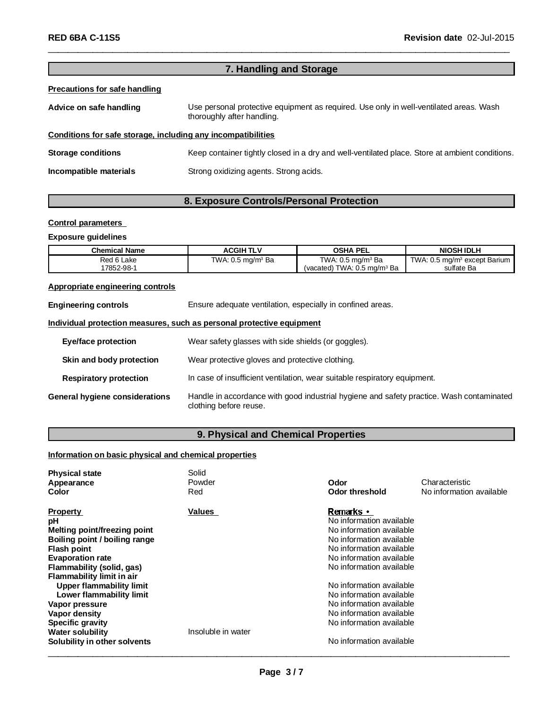# **7. Handling and Storage**

\_\_\_\_\_\_\_\_\_\_\_\_\_\_\_\_\_\_\_\_\_\_\_\_\_\_\_\_\_\_\_\_\_\_\_\_\_\_\_\_\_\_\_\_\_\_\_\_\_\_\_\_\_\_\_\_\_\_\_\_\_\_\_\_\_\_\_\_\_\_\_\_\_\_\_\_\_\_\_\_\_\_\_\_\_\_\_\_\_\_\_\_\_

#### **Precautions for safe handling**

| Advice on safe handling   | Use personal protective equipment as required. Use only in well-ventilated areas. Wash<br>thoroughly after handling. |
|---------------------------|----------------------------------------------------------------------------------------------------------------------|
|                           | Conditions for safe storage, including any incompatibilities                                                         |
| <b>Storage conditions</b> | Keep container tightly closed in a dry and well-ventilated place. Store at ambient conditions.                       |
| Incompatible materials    | Strong oxidizing agents. Strong acids.                                                                               |

# **8. Exposure Controls/Personal Protection**

#### **Control parameters**

#### **Exposure guidelines**

| <b>Chemical Name</b> | <b>ACGIHTLV</b>              | <b>OSHA PEL</b>                        | <b>NIOSH IDLH</b>                        |
|----------------------|------------------------------|----------------------------------------|------------------------------------------|
| Red 6 Lake           | TWA: $0.5 \text{ mg/m}^3$ Ba | TWA: $0.5 \text{ mg/m}^3$ Ba           | TWA: 0.5 mg/m <sup>3</sup> except Barium |
| 7852-98-1            |                              | (vacated) TWA: $0.5 \text{ mg/m}^3$ Ba | sulfate Ba                               |

# **Appropriate engineering controls**

| <b>Engineering controls</b>           | Ensure adequate ventilation, especially in confined areas.                                                         |  |
|---------------------------------------|--------------------------------------------------------------------------------------------------------------------|--|
|                                       | Individual protection measures, such as personal protective equipment                                              |  |
| Eye/face protection                   | Wear safety glasses with side shields (or goggles).                                                                |  |
| Skin and body protection              | Wear protective gloves and protective clothing.                                                                    |  |
| <b>Respiratory protection</b>         | In case of insufficient ventilation, wear suitable respiratory equipment.                                          |  |
| <b>General hygiene considerations</b> | Handle in accordance with good industrial hygiene and safety practice. Wash contaminated<br>clothing before reuse. |  |

# **9. Physical and Chemical Properties**

#### **Information on basic physical and chemical properties**

| <b>Physical state</b><br>Appearance<br>Color           | Solid<br>Powder<br>Red | Odor<br>Odor threshold   | Characteristic<br>No information available |
|--------------------------------------------------------|------------------------|--------------------------|--------------------------------------------|
| <b>Property</b>                                        | Values                 | Remarks •                |                                            |
| рH                                                     |                        | No information available |                                            |
| <b>Melting point/freezing point</b>                    |                        | No information available |                                            |
| Boiling point / boiling range                          |                        | No information available |                                            |
| Flash point                                            |                        | No information available |                                            |
| <b>Evaporation rate</b>                                |                        | No information available |                                            |
| Flammability (solid, gas)<br>Flammability limit in air |                        | No information available |                                            |
| Upper flammability limit                               |                        | No information available |                                            |
| Lower flammability limit                               |                        | No information available |                                            |
| Vapor pressure                                         |                        | No information available |                                            |
| Vapor density                                          |                        | No information available |                                            |
| <b>Specific gravity</b>                                |                        | No information available |                                            |
| <b>Water solubility</b>                                | Insoluble in water     |                          |                                            |
| Solubility in other solvents                           |                        | No information available |                                            |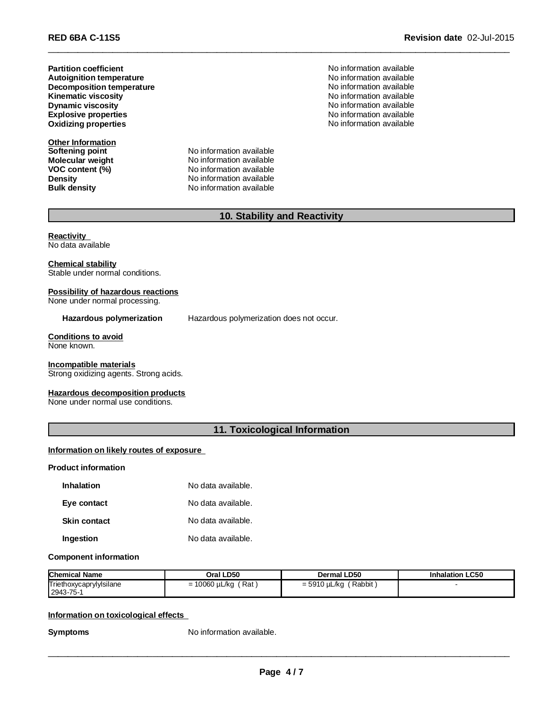**Partition coefficient Decomposition temperature Kinematic viscosity Autoignition temperature Explosive properties Oxidizing properties**

**Other Information**

**Softening point** No information available **Molecular weight** No information available **VOC** content (%) No information available **Density Constitution Constitution Available**<br> **Bulk density No information available No information available** 

No information available<br>No information available No information available No information available No information available **Dynamic viscosity** No information available No information available

# **10. Stability and Reactivity**

\_\_\_\_\_\_\_\_\_\_\_\_\_\_\_\_\_\_\_\_\_\_\_\_\_\_\_\_\_\_\_\_\_\_\_\_\_\_\_\_\_\_\_\_\_\_\_\_\_\_\_\_\_\_\_\_\_\_\_\_\_\_\_\_\_\_\_\_\_\_\_\_\_\_\_\_\_\_\_\_\_\_\_\_\_\_\_\_\_\_\_\_\_

**Reactivity** No data available

**Chemical stability** Stable under normal conditions.

### **Possibility of hazardous reactions**

None under normal processing.

**Hazardous polymerization** Hazardous polymerization does not occur.

# **Conditions to avoid**

None known.

#### **Incompatible materials**

Strong oxidizing agents. Strong acids.

#### **Hazardous decomposition products**

None under normal use conditions.

## **11. Toxicological Information**

#### **Information on likely routes of exposure**

#### **Product information**

| <b>Inhalation</b>   | No data available. |
|---------------------|--------------------|
| Eye contact         | No data available. |
| <b>Skin contact</b> | No data available. |
| Ingestion           | No data available. |

#### **Component information**

| <b>Chemical Name</b>                 | Oral LD50                                           | <b>Dermal LD50</b>                               | <b>Inhalation LC50</b> |
|--------------------------------------|-----------------------------------------------------|--------------------------------------------------|------------------------|
| Triethoxycaprylylsilane<br>2943-75-1 | Rat<br>10060 µL/kg<br>$\overline{\phantom{0}}$<br>- | Rabbit<br>5010.<br>uL/ka<br>- 5<br><u>= JJIV</u> |                        |

### **Information on toxicological effects**

**Symptoms** No information available.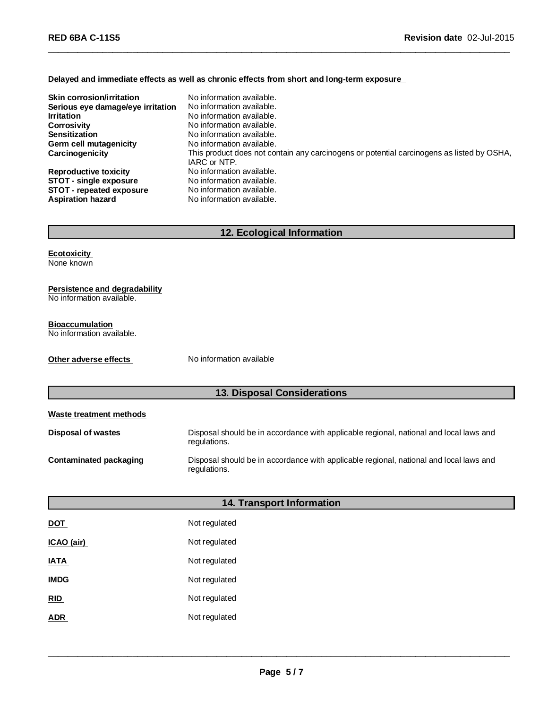### **Delayed and immediate effects as well as chronic effects from short and long-term exposure**

| <b>Skin corrosion/irritation</b><br>Serious eye damage/eye irritation<br><b>Irritation</b><br><b>Corrosivity</b><br><b>Sensitization</b><br>Germ cell mutagenicity<br>Carcinogenicity | No information available.<br>No information available.<br>No information available.<br>No information available.<br>No information available.<br>No information available.<br>This product does not contain any carcinogens or potential carcinogens as listed by OSHA,<br>IARC or NTP. |
|---------------------------------------------------------------------------------------------------------------------------------------------------------------------------------------|-----------------------------------------------------------------------------------------------------------------------------------------------------------------------------------------------------------------------------------------------------------------------------------------|
| <b>Reproductive toxicity</b>                                                                                                                                                          | No information available.                                                                                                                                                                                                                                                               |
| STOT - single exposure                                                                                                                                                                | No information available.                                                                                                                                                                                                                                                               |
| <b>STOT</b> - repeated exposure                                                                                                                                                       | No information available.                                                                                                                                                                                                                                                               |
| <b>Aspiration hazard</b>                                                                                                                                                              | No information available.                                                                                                                                                                                                                                                               |

\_\_\_\_\_\_\_\_\_\_\_\_\_\_\_\_\_\_\_\_\_\_\_\_\_\_\_\_\_\_\_\_\_\_\_\_\_\_\_\_\_\_\_\_\_\_\_\_\_\_\_\_\_\_\_\_\_\_\_\_\_\_\_\_\_\_\_\_\_\_\_\_\_\_\_\_\_\_\_\_\_\_\_\_\_\_\_\_\_\_\_\_\_

# **12. Ecological Information**

**Ecotoxicity** None known

#### **Persistence and degradability**

No information available.

### **Bioaccumulation**

No information available.

**Other adverse effects** No information available

# **13. Disposal Considerations**

| Waste treatment methods   |                                                                                                        |
|---------------------------|--------------------------------------------------------------------------------------------------------|
| <b>Disposal of wastes</b> | Disposal should be in accordance with applicable regional, national and local laws and<br>regulations. |
| Contaminated packaging    | Disposal should be in accordance with applicable regional, national and local laws and<br>regulations. |

|                   | 14. Transport Information |
|-------------------|---------------------------|
| <u>DOT</u>        | Not regulated             |
| <u>ICAO (air)</u> | Not regulated             |
| IATA              | Not regulated             |
| <b>IMDG</b>       | Not regulated             |
| <u>RID</u>        | Not regulated             |
| ADR               | Not regulated             |
|                   |                           |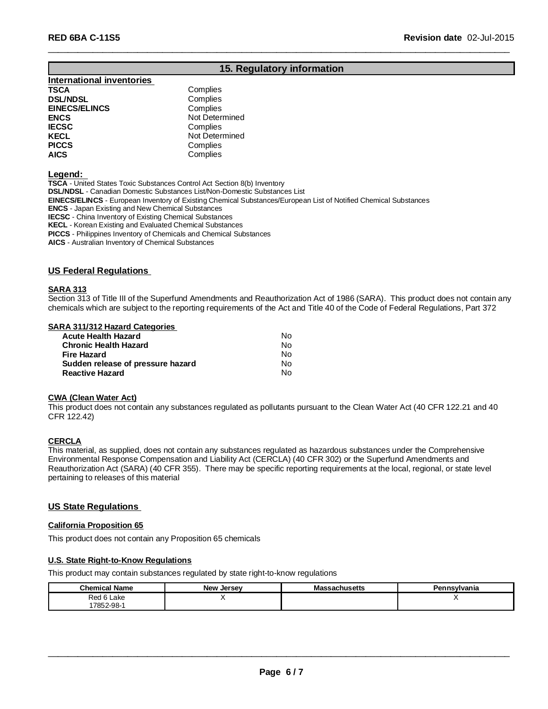# **15. Regulatory information**

\_\_\_\_\_\_\_\_\_\_\_\_\_\_\_\_\_\_\_\_\_\_\_\_\_\_\_\_\_\_\_\_\_\_\_\_\_\_\_\_\_\_\_\_\_\_\_\_\_\_\_\_\_\_\_\_\_\_\_\_\_\_\_\_\_\_\_\_\_\_\_\_\_\_\_\_\_\_\_\_\_\_\_\_\_\_\_\_\_\_\_\_\_

# **International inventories**

| TSCA                 | Complies       |
|----------------------|----------------|
| <b>DSL/NDSL</b>      | Complies       |
| <b>EINECS/ELINCS</b> | Complies       |
| <b>ENCS</b>          | Not Determined |
| IECSC                | Complies       |
| KECL                 | Not Determined |
| <b>PICCS</b>         | Complies       |
| AICS                 | Complies       |

#### **Legend:**

**TSCA** - United States Toxic Substances Control Act Section 8(b) Inventory **DSL/NDSL** - Canadian Domestic Substances List/Non-Domestic Substances List **EINECS/ELINCS** - European Inventory of Existing Chemical Substances/European List of Notified Chemical Substances **ENCS** - Japan Existing and New Chemical Substances **IECSC** - China Inventory of Existing Chemical Substances **KECL** - Korean Existing and Evaluated Chemical Substances

**PICCS** - Philippines Inventory of Chemicals and Chemical Substances

**AICS** - Australian Inventory of Chemical Substances

#### **US Federal Regulations**

#### **SARA 313**

Section 313 of Title III of the Superfund Amendments and Reauthorization Act of 1986 (SARA). This product does not contain any chemicals which are subject to the reporting requirements of the Act and Title 40 of the Code of Federal Regulations, Part 372

#### **SARA 311/312 Hazard Categories**

| <b>Acute Health Hazard</b>        | N٥ |
|-----------------------------------|----|
| <b>Chronic Health Hazard</b>      | N٥ |
| Fire Hazard                       | N٥ |
| Sudden release of pressure hazard | N٥ |
| <b>Reactive Hazard</b>            | N٥ |

#### **CWA (Clean Water Act)**

This product does not contain any substances regulated as pollutants pursuant to the Clean Water Act (40 CFR 122.21 and 40 CFR 122.42)

#### **CERCLA**

This material, as supplied, does not contain any substances regulated as hazardous substances under the Comprehensive Environmental Response Compensation and Liability Act (CERCLA) (40 CFR 302) or the Superfund Amendments and Reauthorization Act (SARA) (40 CFR 355). There may be specific reporting requirements at the local, regional, or state level pertaining to releases of this material

#### **US State Regulations**

#### **California Proposition 65**

This product does not contain any Proposition 65 chemicals

#### **U.S. State Right-to-Know Regulations**

This product may contain substances regulated by state right-to-know regulations

| <b>Chemical Name</b> | <b>New Jersey</b> | <b>Massachusetts</b> | Pennsylvania |
|----------------------|-------------------|----------------------|--------------|
| Red 6 Lake           |                   |                      |              |
| 17852-98-1           |                   |                      |              |